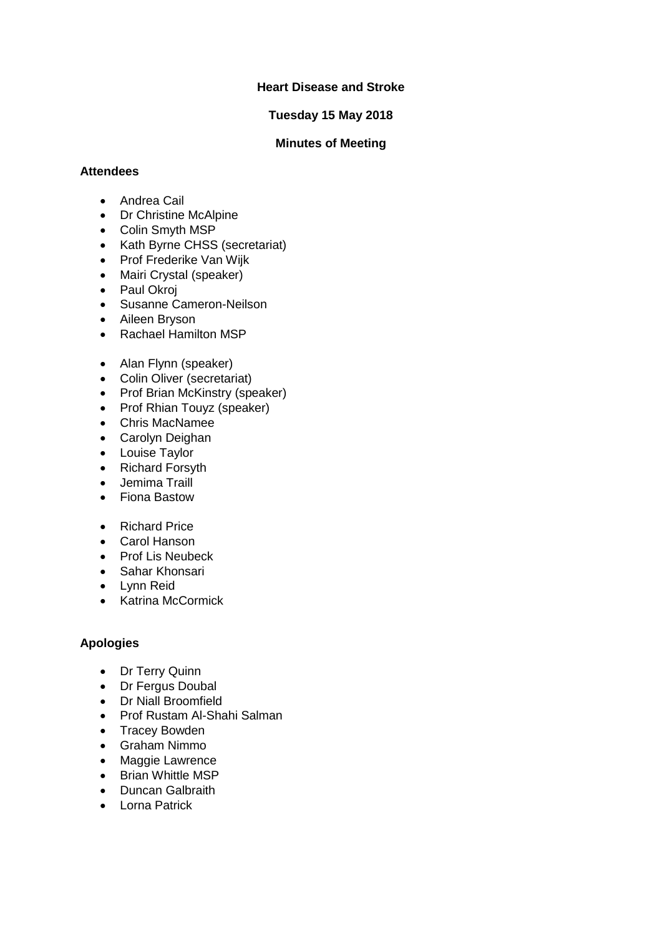# **Heart Disease and Stroke**

# **Tuesday 15 May 2018**

### **Minutes of Meeting**

### **Attendees**

- Andrea Cail
- Dr Christine McAlpine
- Colin Smyth MSP
- Kath Byrne CHSS (secretariat)
- Prof Frederike Van Wijk
- Mairi Crystal (speaker)
- Paul Okroj
- Susanne Cameron-Neilson
- Aileen Bryson
- Rachael Hamilton MSP
- Alan Flynn (speaker)
- Colin Oliver (secretariat)
- Prof Brian McKinstry (speaker)
- Prof Rhian Touyz (speaker)
- Chris MacNamee
- Carolyn Deighan
- Louise Taylor
- Richard Forsyth
- Jemima Traill
- Fiona Bastow
- Richard Price
- Carol Hanson
- Prof Lis Neubeck
- Sahar Khonsari
- Lynn Reid
- Katrina McCormick

# **Apologies**

- Dr Terry Quinn
- Dr Fergus Doubal
- Dr Niall Broomfield
- Prof Rustam Al-Shahi Salman
- Tracey Bowden
- Graham Nimmo
- Maggie Lawrence
- Brian Whittle MSP
- Duncan Galbraith
- Lorna Patrick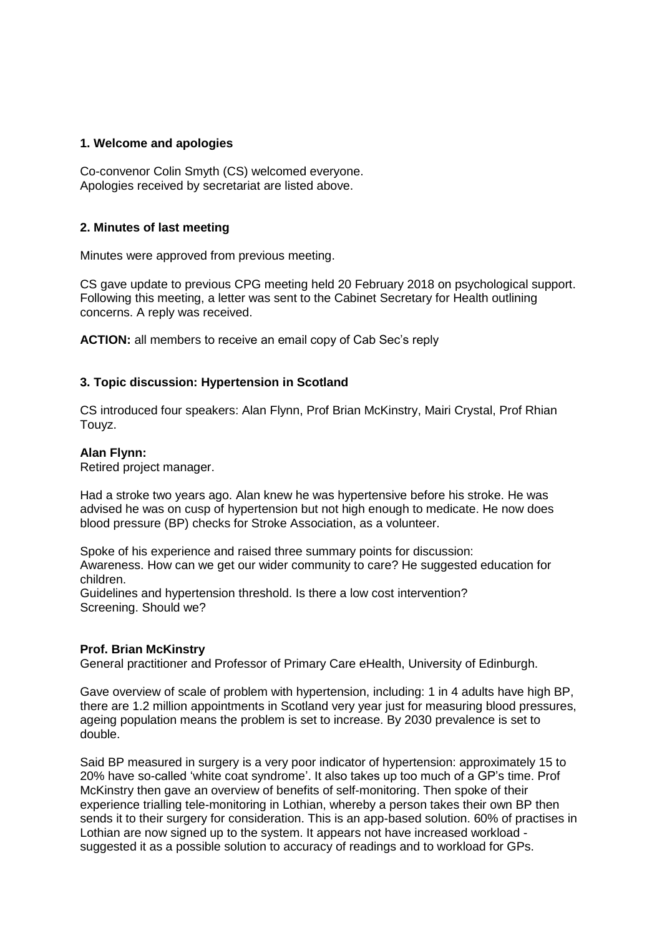### **1. Welcome and apologies**

Co-convenor Colin Smyth (CS) welcomed everyone. Apologies received by secretariat are listed above.

### **2. Minutes of last meeting**

Minutes were approved from previous meeting.

CS gave update to previous CPG meeting held 20 February 2018 on psychological support. Following this meeting, a letter was sent to the Cabinet Secretary for Health outlining concerns. A reply was received.

**ACTION:** all members to receive an email copy of Cab Sec's reply

### **3. Topic discussion: Hypertension in Scotland**

CS introduced four speakers: Alan Flynn, Prof Brian McKinstry, Mairi Crystal, Prof Rhian Touyz.

#### **Alan Flynn:**

Retired project manager.

Had a stroke two years ago. Alan knew he was hypertensive before his stroke. He was advised he was on cusp of hypertension but not high enough to medicate. He now does blood pressure (BP) checks for Stroke Association, as a volunteer.

Spoke of his experience and raised three summary points for discussion: Awareness. How can we get our wider community to care? He suggested education for children.

Guidelines and hypertension threshold. Is there a low cost intervention? Screening. Should we?

#### **Prof. Brian McKinstry**

General practitioner and Professor of Primary Care eHealth, University of Edinburgh.

Gave overview of scale of problem with hypertension, including: 1 in 4 adults have high BP, there are 1.2 million appointments in Scotland very year just for measuring blood pressures, ageing population means the problem is set to increase. By 2030 prevalence is set to double.

Said BP measured in surgery is a very poor indicator of hypertension: approximately 15 to 20% have so-called 'white coat syndrome'. It also takes up too much of a GP's time. Prof McKinstry then gave an overview of benefits of self-monitoring. Then spoke of their experience trialling tele-monitoring in Lothian, whereby a person takes their own BP then sends it to their surgery for consideration. This is an app-based solution. 60% of practises in Lothian are now signed up to the system. It appears not have increased workload suggested it as a possible solution to accuracy of readings and to workload for GPs.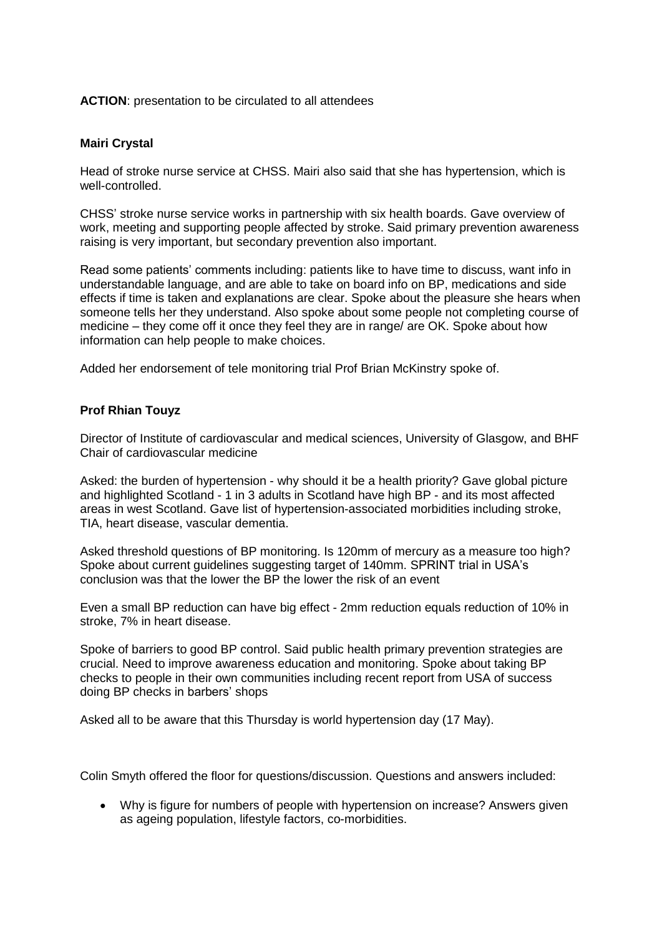### **ACTION**: presentation to be circulated to all attendees

# **Mairi Crystal**

Head of stroke nurse service at CHSS. Mairi also said that she has hypertension, which is well-controlled.

CHSS' stroke nurse service works in partnership with six health boards. Gave overview of work, meeting and supporting people affected by stroke. Said primary prevention awareness raising is very important, but secondary prevention also important.

Read some patients' comments including: patients like to have time to discuss, want info in understandable language, and are able to take on board info on BP, medications and side effects if time is taken and explanations are clear. Spoke about the pleasure she hears when someone tells her they understand. Also spoke about some people not completing course of medicine – they come off it once they feel they are in range/ are OK. Spoke about how information can help people to make choices.

Added her endorsement of tele monitoring trial Prof Brian McKinstry spoke of.

# **Prof Rhian Touyz**

Director of Institute of cardiovascular and medical sciences, University of Glasgow, and BHF Chair of cardiovascular medicine

Asked: the burden of hypertension - why should it be a health priority? Gave global picture and highlighted Scotland - 1 in 3 adults in Scotland have high BP - and its most affected areas in west Scotland. Gave list of hypertension-associated morbidities including stroke, TIA, heart disease, vascular dementia.

Asked threshold questions of BP monitoring. Is 120mm of mercury as a measure too high? Spoke about current guidelines suggesting target of 140mm. SPRINT trial in USA's conclusion was that the lower the BP the lower the risk of an event

Even a small BP reduction can have big effect - 2mm reduction equals reduction of 10% in stroke, 7% in heart disease.

Spoke of barriers to good BP control. Said public health primary prevention strategies are crucial. Need to improve awareness education and monitoring. Spoke about taking BP checks to people in their own communities including recent report from USA of success doing BP checks in barbers' shops

Asked all to be aware that this Thursday is world hypertension day (17 May).

Colin Smyth offered the floor for questions/discussion. Questions and answers included:

 Why is figure for numbers of people with hypertension on increase? Answers given as ageing population, lifestyle factors, co-morbidities.